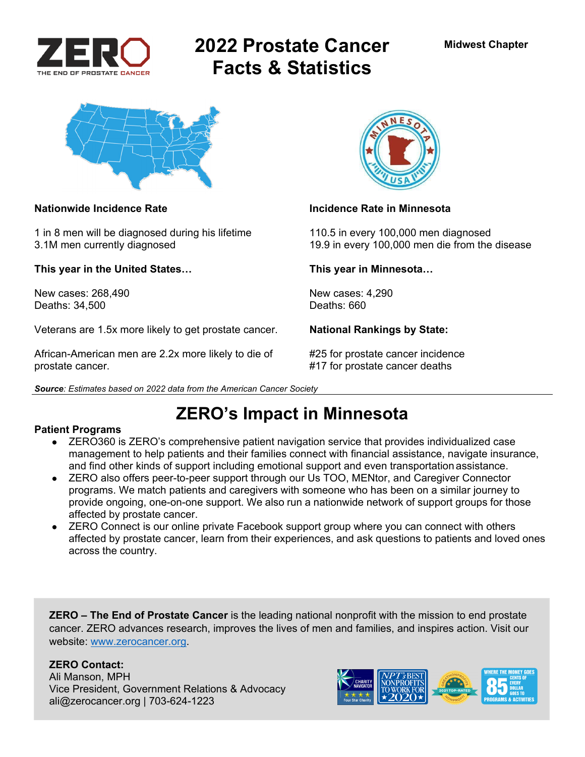

# **2022 Prostate Cancer Facts & Statistics**



1 in 8 men will be diagnosed during his lifetime 110.5 in every 100,000 men diagnosed

**This year in the United States… This year in Minnesota…** 

New cases: 268,490 New cases: 4,290<br>Deaths: 34.500 Deaths: 660 Deaths: 34,500

Veterans are 1.5x more likely to get prostate cancer. **National Rankings by State:** 

African-American men are 2.2x more likely to die of #25 for prostate cancer incidence prostate cancer. #17 for prostate cancer deaths





### **Nationwide Incidence Rate Incidence Rate in Minnesota**

3.1M men currently diagnosed 19.9 in every 100,000 men die from the disease

# **ZERO's Impact in Minnesota**

### **Patient Programs**

- ZERO360 is ZERO's comprehensive patient navigation service that provides individualized case management to help patients and their families connect with financial assistance, navigate insurance, and find other kinds of support including emotional support and even transportation assistance.
- ZERO also offers peer-to-peer support through our Us TOO, MENtor, and Caregiver Connector programs. We match patients and caregivers with someone who has been on a similar journey to provide ongoing, one-on-one support. We also run a nationwide network of support groups for those affected by prostate cancer.
- ZERO Connect is our online private Facebook support group where you can connect with others affected by prostate cancer, learn from their experiences, and ask questions to patients and loved ones across the country.

**ZERO – The End of Prostate Cancer** is the leading national nonprofit with the mission to end prostate cancer. ZERO advances research, improves the lives of men and families, and inspires action. Visit our website: www.zerocancer.org.

## **ZERO Contact:**

Ali Manson, MPH Vice President, Government Relations & Advocacy ali@zerocancer.org | 703-624-1223